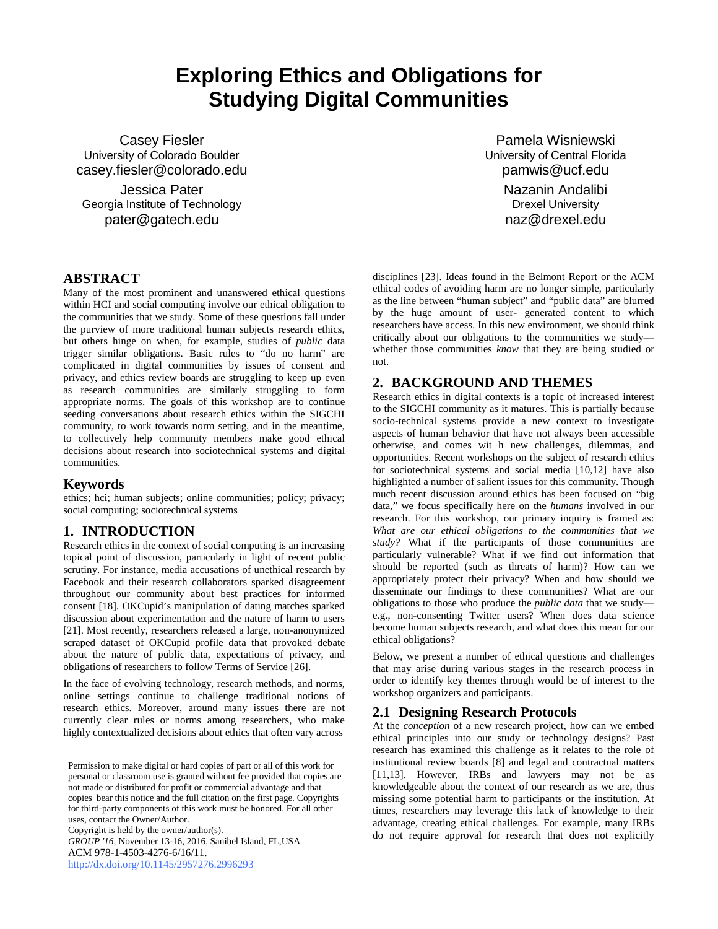# **Exploring Ethics and Obligations for Studying Digital Communities**

Casey Fiesler University of Colorado Boulder casey.fiesler@colorado.edu

Jessica Pater Georgia Institute of Technology pater@gatech.edu

Pamela Wisniewski University of Central Florida pamwis@ucf.edu Nazanin Andalibi Drexel University naz@drexel.edu

## **ABSTRACT**

Many of the most prominent and unanswered ethical questions within HCI and social computing involve our ethical obligation to the communities that we study. Some of these questions fall under the purview of more traditional human subjects research ethics, but others hinge on when, for example, studies of *public* data trigger similar obligations. Basic rules to "do no harm" are complicated in digital communities by issues of consent and privacy, and ethics review boards are struggling to keep up even as research communities are similarly struggling to form appropriate norms. The goals of this workshop are to continue seeding conversations about research ethics within the SIGCHI community, to work towards norm setting, and in the meantime, to collectively help community members make good ethical decisions about research into sociotechnical systems and digital communities.

#### **Keywords**

ethics; hci; human subjects; online communities; policy; privacy; social computing; sociotechnical systems

#### **1. INTRODUCTION**

Research ethics in the context of social computing is an increasing topical point of discussion, particularly in light of recent public scrutiny. For instance, media accusations of unethical research by Facebook and their research collaborators sparked disagreement throughout our community about best practices for informed consent [18]. OKCupid's manipulation of dating matches sparked discussion about experimentation and the nature of harm to users [21]. Most recently, researchers released a large, non-anonymized scraped dataset of OKCupid profile data that provoked debate about the nature of public data, expectations of privacy, and obligations of researchers to follow Terms of Service [26].

In the face of evolving technology, research methods, and norms, online settings continue to challenge traditional notions of research ethics. Moreover, around many issues there are not currently clear rules or norms among researchers, who make highly contextualized decisions about ethics that often vary across

Copyright is held by the owner/author(s).

*GROUP '16*, November 13-16, 2016, Sanibel Island, FL,USA ACM 978-1-4503-4276-6/16/11. <http://dx.doi.org/10.1145/2957276.2996293>

disciplines [23]. Ideas found in the Belmont Report or the ACM ethical codes of avoiding harm are no longer simple, particularly as the line between "human subject" and "public data" are blurred by the huge amount of user- generated content to which researchers have access. In this new environment, we should think critically about our obligations to the communities we study whether those communities *know* that they are being studied or not.

### **2. BACKGROUND AND THEMES**

Research ethics in digital contexts is a topic of increased interest to the SIGCHI community as it matures. This is partially because socio-technical systems provide a new context to investigate aspects of human behavior that have not always been accessible otherwise, and comes wit h new challenges, dilemmas, and opportunities. Recent workshops on the subject of research ethics for sociotechnical systems and social media [10,12] have also highlighted a number of salient issues for this community. Though much recent discussion around ethics has been focused on "big data," we focus specifically here on the *humans* involved in our research. For this workshop, our primary inquiry is framed as: *What are our ethical obligations to the communities that we study?* What if the participants of those communities are particularly vulnerable? What if we find out information that should be reported (such as threats of harm)? How can we appropriately protect their privacy? When and how should we disseminate our findings to these communities? What are our obligations to those who produce the *public data* that we study e.g., non-consenting Twitter users? When does data science become human subjects research, and what does this mean for our ethical obligations?

Below, we present a number of ethical questions and challenges that may arise during various stages in the research process in order to identify key themes through would be of interest to the workshop organizers and participants.

#### **2.1 Designing Research Protocols**

At the *conception* of a new research project, how can we embed ethical principles into our study or technology designs? Past research has examined this challenge as it relates to the role of institutional review boards [8] and legal and contractual matters [11,13]. However, IRBs and lawyers may not be as knowledgeable about the context of our research as we are, thus missing some potential harm to participants or the institution. At times, researchers may leverage this lack of knowledge to their advantage, creating ethical challenges. For example, many IRBs do not require approval for research that does not explicitly

Permission to make digital or hard copies of part or all of this work for personal or classroom use is granted without fee provided that copies are not made or distributed for profit or commercial advantage and that copies bear this notice and the full citation on the first page. Copyrights for third-party components of this work must be honored. For all other uses, contact the Owner/Author.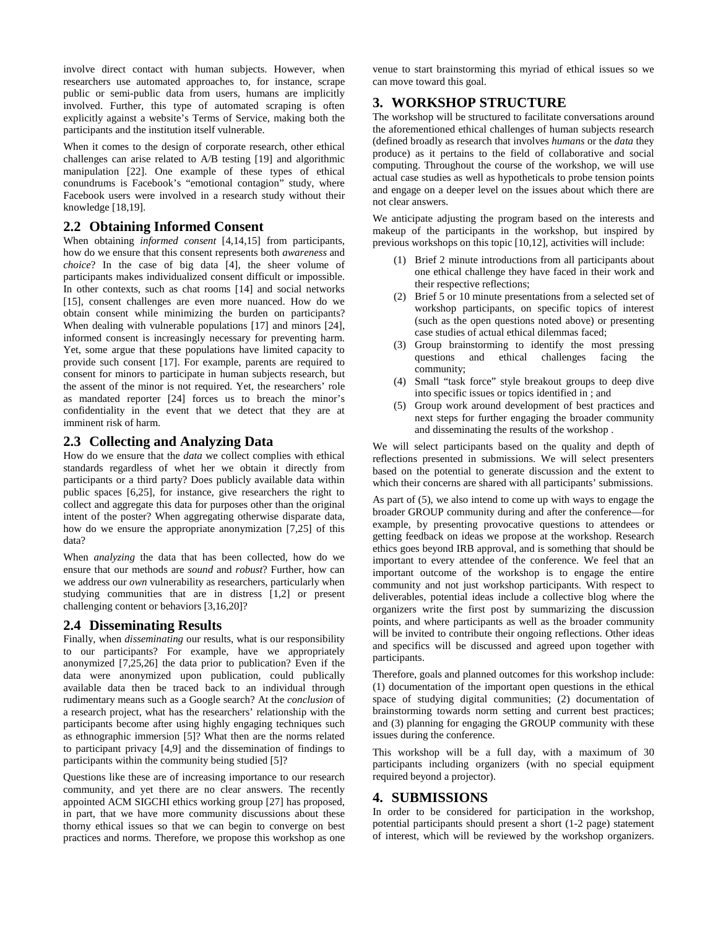involve direct contact with human subjects. However, when researchers use automated approaches to, for instance, scrape public or semi-public data from users, humans are implicitly involved. Further, this type of automated scraping is often explicitly against a website's Terms of Service, making both the participants and the institution itself vulnerable.

When it comes to the design of corporate research, other ethical challenges can arise related to A/B testing [19] and algorithmic manipulation [22]. One example of these types of ethical conundrums is Facebook's "emotional contagion" study, where Facebook users were involved in a research study without their knowledge [18,19].

#### **2.2 Obtaining Informed Consent**

When obtaining *informed consent* [4,14,15] from participants, how do we ensure that this consent represents both *awareness* and *choice*? In the case of big data [4], the sheer volume of participants makes individualized consent difficult or impossible. In other contexts, such as chat rooms [14] and social networks [15], consent challenges are even more nuanced. How do we obtain consent while minimizing the burden on participants? When dealing with vulnerable populations [17] and minors [24], informed consent is increasingly necessary for preventing harm. Yet, some argue that these populations have limited capacity to provide such consent [17]. For example, parents are required to consent for minors to participate in human subjects research, but the assent of the minor is not required. Yet, the researchers' role as mandated reporter [24] forces us to breach the minor's confidentiality in the event that we detect that they are at imminent risk of harm.

#### **2.3 Collecting and Analyzing Data**

How do we ensure that the *data* we collect complies with ethical standards regardless of whet her we obtain it directly from participants or a third party? Does publicly available data within public spaces [6,25], for instance, give researchers the right to collect and aggregate this data for purposes other than the original intent of the poster? When aggregating otherwise disparate data, how do we ensure the appropriate anonymization [7,25] of this data?

When *analyzing* the data that has been collected, how do we ensure that our methods are *sound* and *robust*? Further, how can we address our *own* vulnerability as researchers, particularly when studying communities that are in distress [1,2] or present challenging content or behaviors [3,16,20]?

#### **2.4 Disseminating Results**

Finally, when *disseminating* our results, what is our responsibility to our participants? For example, have we appropriately anonymized [7,25,26] the data prior to publication? Even if the data were anonymized upon publication, could publically available data then be traced back to an individual through rudimentary means such as a Google search? At the *conclusion* of a research project, what has the researchers' relationship with the participants become after using highly engaging techniques such as ethnographic immersion [5]? What then are the norms related to participant privacy [4,9] and the dissemination of findings to participants within the community being studied [5]?

Questions like these are of increasing importance to our research community, and yet there are no clear answers. The recently appointed ACM SIGCHI ethics working group [27] has proposed, in part, that we have more community discussions about these thorny ethical issues so that we can begin to converge on best practices and norms. Therefore, we propose this workshop as one venue to start brainstorming this myriad of ethical issues so we can move toward this goal.

## **3. WORKSHOP STRUCTURE**

The workshop will be structured to facilitate conversations around the aforementioned ethical challenges of human subjects research (defined broadly as research that involves *humans* or the *data* they produce) as it pertains to the field of collaborative and social computing. Throughout the course of the workshop, we will use actual case studies as well as hypotheticals to probe tension points and engage on a deeper level on the issues about which there are not clear answers.

We anticipate adjusting the program based on the interests and makeup of the participants in the workshop, but inspired by previous workshops on this topic [10,12], activities will include:

- (1) Brief 2 minute introductions from all participants about one ethical challenge they have faced in their work and their respective reflections;
- (2) Brief 5 or 10 minute presentations from a selected set of workshop participants, on specific topics of interest (such as the open questions noted above) or presenting case studies of actual ethical dilemmas faced;
- (3) Group brainstorming to identify the most pressing questions and ethical challenges facing the community;
- (4) Small "task force" style breakout groups to deep dive into specific issues or topics identified in ; and
- (5) Group work around development of best practices and next steps for further engaging the broader community and disseminating the results of the workshop .

We will select participants based on the quality and depth of reflections presented in submissions. We will select presenters based on the potential to generate discussion and the extent to which their concerns are shared with all participants' submissions.

As part of (5), we also intend to come up with ways to engage the broader GROUP community during and after the conference—for example, by presenting provocative questions to attendees or getting feedback on ideas we propose at the workshop. Research ethics goes beyond IRB approval, and is something that should be important to every attendee of the conference. We feel that an important outcome of the workshop is to engage the entire community and not just workshop participants. With respect to deliverables, potential ideas include a collective blog where the organizers write the first post by summarizing the discussion points, and where participants as well as the broader community will be invited to contribute their ongoing reflections. Other ideas and specifics will be discussed and agreed upon together with participants.

Therefore, goals and planned outcomes for this workshop include: (1) documentation of the important open questions in the ethical space of studying digital communities; (2) documentation of brainstorming towards norm setting and current best practices; and (3) planning for engaging the GROUP community with these issues during the conference.

This workshop will be a full day, with a maximum of 30 participants including organizers (with no special equipment required beyond a projector).

#### **4. SUBMISSIONS**

In order to be considered for participation in the workshop, potential participants should present a short (1-2 page) statement of interest, which will be reviewed by the workshop organizers.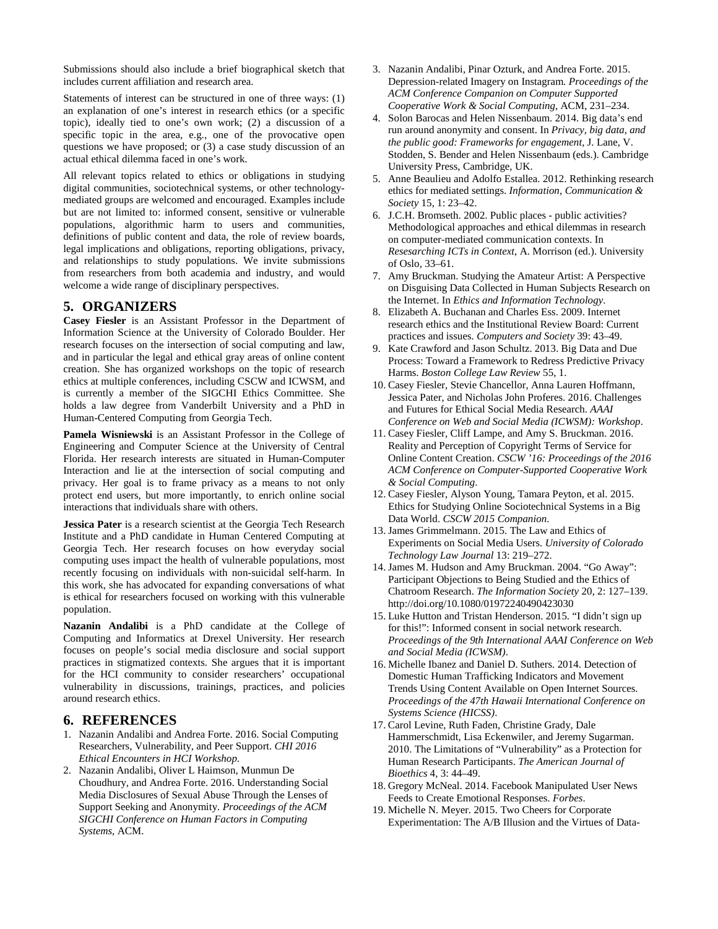Submissions should also include a brief biographical sketch that includes current affiliation and research area.

Statements of interest can be structured in one of three ways: (1) an explanation of one's interest in research ethics (or a specific topic), ideally tied to one's own work; (2) a discussion of a specific topic in the area, e.g., one of the provocative open questions we have proposed; or (3) a case study discussion of an actual ethical dilemma faced in one's work.

All relevant topics related to ethics or obligations in studying digital communities, sociotechnical systems, or other technologymediated groups are welcomed and encouraged. Examples include but are not limited to: informed consent, sensitive or vulnerable populations, algorithmic harm to users and communities, definitions of public content and data, the role of review boards, legal implications and obligations, reporting obligations, privacy, and relationships to study populations. We invite submissions from researchers from both academia and industry, and would welcome a wide range of disciplinary perspectives.

#### **5. ORGANIZERS**

**Casey Fiesler** is an Assistant Professor in the Department of Information Science at the University of Colorado Boulder. Her research focuses on the intersection of social computing and law, and in particular the legal and ethical gray areas of online content creation. She has organized workshops on the topic of research ethics at multiple conferences, including CSCW and ICWSM, and is currently a member of the SIGCHI Ethics Committee. She holds a law degree from Vanderbilt University and a PhD in Human-Centered Computing from Georgia Tech.

**Pamela Wisniewski** is an Assistant Professor in the College of Engineering and Computer Science at the University of Central Florida. Her research interests are situated in Human-Computer Interaction and lie at the intersection of social computing and privacy. Her goal is to frame privacy as a means to not only protect end users, but more importantly, to enrich online social interactions that individuals share with others.

**Jessica Pater** is a research scientist at the Georgia Tech Research Institute and a PhD candidate in Human Centered Computing at Georgia Tech. Her research focuses on how everyday social computing uses impact the health of vulnerable populations, most recently focusing on individuals with non-suicidal self-harm. In this work, she has advocated for expanding conversations of what is ethical for researchers focused on working with this vulnerable population.

**Nazanin Andalibi** is a PhD candidate at the College of Computing and Informatics at Drexel University. Her research focuses on people's social media disclosure and social support practices in stigmatized contexts. She argues that it is important for the HCI community to consider researchers' occupational vulnerability in discussions, trainings, practices, and policies around research ethics.

#### **6. REFERENCES**

- 1. Nazanin Andalibi and Andrea Forte. 2016. Social Computing Researchers, Vulnerability, and Peer Support. *CHI 2016 Ethical Encounters in HCI Workshop*.
- 2. Nazanin Andalibi, Oliver L Haimson, Munmun De Choudhury, and Andrea Forte. 2016. Understanding Social Media Disclosures of Sexual Abuse Through the Lenses of Support Seeking and Anonymity. *Proceedings of the ACM SIGCHI Conference on Human Factors in Computing Systems*, ACM.
- 3. Nazanin Andalibi, Pinar Ozturk, and Andrea Forte. 2015. Depression-related Imagery on Instagram. *Proceedings of the ACM Conference Companion on Computer Supported Cooperative Work & Social Computing*, ACM, 231–234.
- 4. Solon Barocas and Helen Nissenbaum. 2014. Big data's end run around anonymity and consent. In *Privacy, big data, and the public good: Frameworks for engagement*, J. Lane, V. Stodden, S. Bender and Helen Nissenbaum (eds.). Cambridge University Press, Cambridge, UK.
- 5. Anne Beaulieu and Adolfo Estallea. 2012. Rethinking research ethics for mediated settings. *Information, Communication & Society* 15, 1: 23–42.
- 6. J.C.H. Bromseth. 2002. Public places public activities? Methodological approaches and ethical dilemmas in research on computer-mediated communication contexts. In *Resesarching ICTs in Context*, A. Morrison (ed.). University of Oslo, 33–61.
- 7. Amy Bruckman. Studying the Amateur Artist: A Perspective on Disguising Data Collected in Human Subjects Research on the Internet. In *Ethics and Information Technology*.
- 8. Elizabeth A. Buchanan and Charles Ess. 2009. Internet research ethics and the Institutional Review Board: Current practices and issues. *Computers and Society* 39: 43–49.
- 9. Kate Crawford and Jason Schultz. 2013. Big Data and Due Process: Toward a Framework to Redress Predictive Privacy Harms. *Boston College Law Review* 55, 1.
- 10. Casey Fiesler, Stevie Chancellor, Anna Lauren Hoffmann, Jessica Pater, and Nicholas John Proferes. 2016. Challenges and Futures for Ethical Social Media Research. *AAAI Conference on Web and Social Media (ICWSM): Workshop*.
- 11. Casey Fiesler, Cliff Lampe, and Amy S. Bruckman. 2016. Reality and Perception of Copyright Terms of Service for Online Content Creation. *CSCW '16: Proceedings of the 2016 ACM Conference on Computer-Supported Cooperative Work & Social Computing*.
- 12. Casey Fiesler, Alyson Young, Tamara Peyton, et al. 2015. Ethics for Studying Online Sociotechnical Systems in a Big Data World. *CSCW 2015 Companion*.
- 13. James Grimmelmann. 2015. The Law and Ethics of Experiments on Social Media Users. *University of Colorado Technology Law Journal* 13: 219–272.
- 14. James M. Hudson and Amy Bruckman. 2004. "Go Away": Participant Objections to Being Studied and the Ethics of Chatroom Research. *The Information Society* 20, 2: 127–139. http://doi.org/10.1080/01972240490423030
- 15. Luke Hutton and Tristan Henderson. 2015. "I didn't sign up for this!": Informed consent in social network research. *Proceedings of the 9th International AAAI Conference on Web and Social Media (ICWSM)*.
- 16. Michelle Ibanez and Daniel D. Suthers. 2014. Detection of Domestic Human Trafficking Indicators and Movement Trends Using Content Available on Open Internet Sources. *Proceedings of the 47th Hawaii International Conference on Systems Science (HICSS)*.
- 17. Carol Levine, Ruth Faden, Christine Grady, Dale Hammerschmidt, Lisa Eckenwiler, and Jeremy Sugarman. 2010. The Limitations of "Vulnerability" as a Protection for Human Research Participants. *The American Journal of Bioethics* 4, 3: 44–49.
- 18. Gregory McNeal. 2014. Facebook Manipulated User News Feeds to Create Emotional Responses. *Forbes*.
- 19. Michelle N. Meyer. 2015. Two Cheers for Corporate Experimentation: The A/B Illusion and the Virtues of Data-